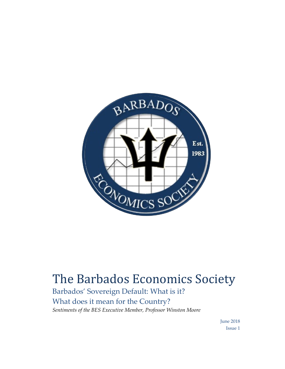

## The Barbados Economics Society

Barbados' Sovereign Default: What is it? What does it mean for the Country? *Sentiments of the BES Executive Member, Professor Winston Moore* 

> June 2018 Issue 1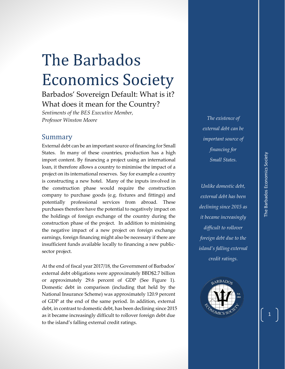## The Barbados Economics Society

Barbados' Sovereign Default: What is it? What does it mean for the Country?

*Sentiments of the BES Executive Member, Professor Winston Moore* 

## Summary

External debt can be an important source of financing for Small States. In many of these countries, production has a high import content. By financing a project using an international loan, it therefore allows a country to minimise the impact of a project on its international reserves. Say for example a country is constructing a new hotel. Many of the inputs involved in the construction phase would require the construction company to purchase goods (e.g. fixtures and fittings) and potentially professional services from abroad. These purchases therefore have the potential to negatively impact on the holdings of foreign exchange of the country during the construction phase of the project. In addition to minimising the negative impact of a new project on foreign exchange earnings, foreign financing might also be necessary if there are insufficient funds available locally to financing a new publicsector project.

At the end of fiscal year 2017/18, the Government of Barbados' external debt obligations were approximately BBD\$2.7 billion or approximately 29.6 percent of GDP (See Figure 1). Domestic debt in comparison (including that held by the National Insurance Scheme) was approximately 120.9 percent of GDP at the end of the same period. In addition, external debt, in contrast to domestic debt, has been declining since 2015 as it became increasingly difficult to rollover foreign debt due to the island's falling external credit ratings.

*The existence of external debt can be important source of financing for Small States.*

*Unlike domestic debt, external debt has been declining since 2015 as it became increasingly difficult to rollover foreign debt due to the island's falling external credit ratings.* 



1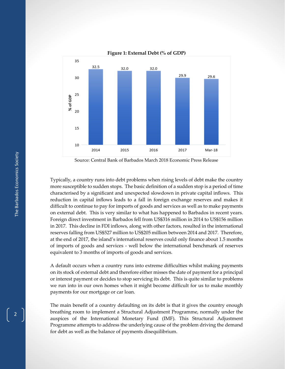

Source: Central Bank of Barbados March 2018 Economic Press Release

Typically, a country runs into debt problems when rising levels of debt make the country more susceptible to sudden stops. The basic definition of a sudden stop is a period of time characterised by a significant and unexpected slowdown in private capital inflows. This reduction in capital inflows leads to a fall in foreign exchange reserves and makes it difficult to continue to pay for imports of goods and services as well as to make payments on external debt. This is very similar to what has happened to Barbados in recent years. Foreign direct investment in Barbados fell from US\$316 million in 2014 to US\$156 million in 2017. This decline in FDI inflows, along with other factors, resulted in the international reserves falling from US\$527 million to US\$205 million between 2014 and 2017. Therefore, at the end of 2017, the island's international reserves could only finance about 1.5 months of imports of goods and services - well below the international benchmark of reserves equivalent to 3 months of imports of goods and services.

A default occurs when a country runs into extreme difficulties whilst making payments on its stock of external debt and therefore either misses the date of payment for a principal or interest payment or decides to stop servicing its debt. This is quite similar to problems we run into in our own homes when it might become difficult for us to make monthly payments for our mortgage or car loan.

The main benefit of a country defaulting on its debt is that it gives the country enough breathing room to implement a Structural Adjustment Programme, normally under the auspices of the International Monetary Fund (IMF). This Structural Adjustment Programme attempts to address the underlying cause of the problem driving the demand for debt as well as the balance of payments disequilibrium.